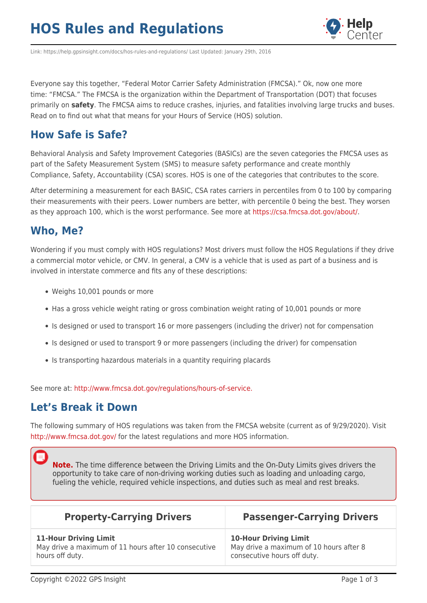## **HOS Rules and Regulations**



Link: https://help.gpsinsight.com/docs/hos-rules-and-regulations/ Last Updated: January 29th, 2016

Everyone say this together, "Federal Motor Carrier Safety Administration (FMCSA)." Ok, now one more time: "FMCSA." The FMCSA is the organization within the Department of Transportation (DOT) that focuses primarily on **safety**. The FMCSA aims to reduce crashes, injuries, and fatalities involving large trucks and buses. Read on to find out what that means for your Hours of Service (HOS) solution.

### **How Safe is Safe?**

Behavioral Analysis and Safety Improvement Categories (BASICs) are the seven categories the FMCSA uses as part of the Safety Measurement System (SMS) to measure safety performance and create monthly Compliance, Safety, Accountability (CSA) scores. HOS is one of the categories that contributes to the score.

After determining a measurement for each BASIC, CSA rates carriers in percentiles from 0 to 100 by comparing their measurements with their peers. Lower numbers are better, with percentile 0 being the best. They worsen as they approach 100, which is the worst performance. See more at [https://csa.fmcsa.dot.gov/about/.](https://csa.fmcsa.dot.gov/about/)

### **Who, Me?**

Wondering if you must comply with HOS regulations? Most drivers must follow the HOS Regulations if they drive a commercial motor vehicle, or CMV. In general, a CMV is a vehicle that is used as part of a business and is involved in interstate commerce and fits any of these descriptions:

- Weighs 10,001 pounds or more
- Has a gross vehicle weight rating or gross combination weight rating of 10,001 pounds or more
- Is designed or used to transport 16 or more passengers (including the driver) not for compensation
- Is designed or used to transport 9 or more passengers (including the driver) for compensation
- Is transporting hazardous materials in a quantity requiring placards

See more at: [http://www.fmcsa.dot.gov/regulations/hours-of-service.](http://www.fmcsa.dot.gov/regulations/hours-of-service)

#### **Let's Break it Down**

The following summary of HOS regulations was taken from the FMCSA website (current as of 9/29/2020). Visit <http://www.fmcsa.dot.gov/> for the latest regulations and more HOS information.

**Note.** The time difference between the Driving Limits and the On-Duty Limits gives drivers the opportunity to take care of non-driving working duties such as loading and unloading cargo, fueling the vehicle, required vehicle inspections, and duties such as meal and rest breaks.

| <b>Property-Carrying Drivers</b>                     | <b>Passenger-Carrying Drivers</b>       |  |
|------------------------------------------------------|-----------------------------------------|--|
| <b>11-Hour Driving Limit</b>                         | <b>10-Hour Driving Limit</b>            |  |
| May drive a maximum of 11 hours after 10 consecutive | May drive a maximum of 10 hours after 8 |  |
| hours off duty.                                      | consecutive hours off duty.             |  |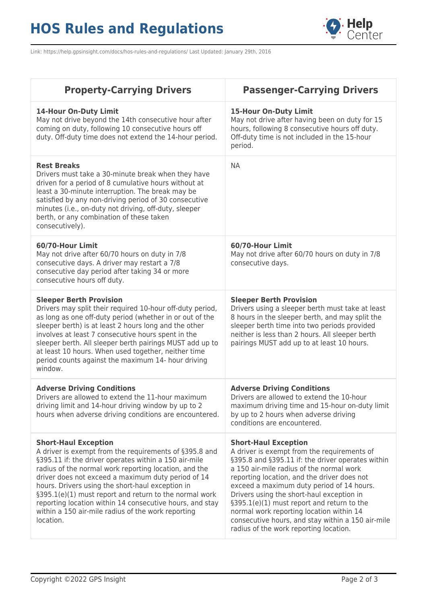# **HOS Rules and Regulations**



Link: https://help.gpsinsight.com/docs/hos-rules-and-regulations/ Last Updated: January 29th, 2016

| <b>Property-Carrying Drivers</b>                                                                                                                                                                                                                                                                                                                                                                                                                                                                           | <b>Passenger-Carrying Drivers</b>                                                                                                                                                                                                                                                                                                                                                                                                                                                                             |  |
|------------------------------------------------------------------------------------------------------------------------------------------------------------------------------------------------------------------------------------------------------------------------------------------------------------------------------------------------------------------------------------------------------------------------------------------------------------------------------------------------------------|---------------------------------------------------------------------------------------------------------------------------------------------------------------------------------------------------------------------------------------------------------------------------------------------------------------------------------------------------------------------------------------------------------------------------------------------------------------------------------------------------------------|--|
| <b>14-Hour On-Duty Limit</b><br>May not drive beyond the 14th consecutive hour after<br>coming on duty, following 10 consecutive hours off<br>duty. Off-duty time does not extend the 14-hour period.                                                                                                                                                                                                                                                                                                      | 15-Hour On-Duty Limit<br>May not drive after having been on duty for 15<br>hours, following 8 consecutive hours off duty.<br>Off-duty time is not included in the 15-hour<br>period.                                                                                                                                                                                                                                                                                                                          |  |
| <b>Rest Breaks</b><br>Drivers must take a 30-minute break when they have<br>driven for a period of 8 cumulative hours without at<br>least a 30-minute interruption. The break may be<br>satisfied by any non-driving period of 30 consecutive<br>minutes (i.e., on-duty not driving, off-duty, sleeper<br>berth, or any combination of these taken<br>consecutively).                                                                                                                                      | <b>NA</b>                                                                                                                                                                                                                                                                                                                                                                                                                                                                                                     |  |
| 60/70-Hour Limit<br>May not drive after 60/70 hours on duty in 7/8<br>consecutive days. A driver may restart a 7/8<br>consecutive day period after taking 34 or more<br>consecutive hours off duty.                                                                                                                                                                                                                                                                                                        | 60/70-Hour Limit<br>May not drive after 60/70 hours on duty in 7/8<br>consecutive days.                                                                                                                                                                                                                                                                                                                                                                                                                       |  |
| <b>Sleeper Berth Provision</b><br>Drivers may split their required 10-hour off-duty period,<br>as long as one off-duty period (whether in or out of the<br>sleeper berth) is at least 2 hours long and the other<br>involves at least 7 consecutive hours spent in the<br>sleeper berth. All sleeper berth pairings MUST add up to<br>at least 10 hours. When used together, neither time<br>period counts against the maximum 14- hour driving<br>window.                                                 | <b>Sleeper Berth Provision</b><br>Drivers using a sleeper berth must take at least<br>8 hours in the sleeper berth, and may split the<br>sleeper berth time into two periods provided<br>neither is less than 2 hours. All sleeper berth<br>pairings MUST add up to at least 10 hours.                                                                                                                                                                                                                        |  |
| <b>Adverse Driving Conditions</b><br>Drivers are allowed to extend the 11-hour maximum<br>driving limit and 14-hour driving window by up to 2<br>hours when adverse driving conditions are encountered.                                                                                                                                                                                                                                                                                                    | <b>Adverse Driving Conditions</b><br>Drivers are allowed to extend the 10-hour<br>maximum driving time and 15-hour on-duty limit<br>by up to 2 hours when adverse driving<br>conditions are encountered.                                                                                                                                                                                                                                                                                                      |  |
| <b>Short-Haul Exception</b><br>A driver is exempt from the requirements of §395.8 and<br>§395.11 if: the driver operates within a 150 air-mile<br>radius of the normal work reporting location, and the<br>driver does not exceed a maximum duty period of 14<br>hours. Drivers using the short-haul exception in<br>§395.1(e)(1) must report and return to the normal work<br>reporting location within 14 consecutive hours, and stay<br>within a 150 air-mile radius of the work reporting<br>location. | <b>Short-Haul Exception</b><br>A driver is exempt from the requirements of<br>§395.8 and §395.11 if: the driver operates within<br>a 150 air-mile radius of the normal work<br>reporting location, and the driver does not<br>exceed a maximum duty period of 14 hours.<br>Drivers using the short-haul exception in<br>§395.1(e)(1) must report and return to the<br>normal work reporting location within 14<br>consecutive hours, and stay within a 150 air-mile<br>radius of the work reporting location. |  |